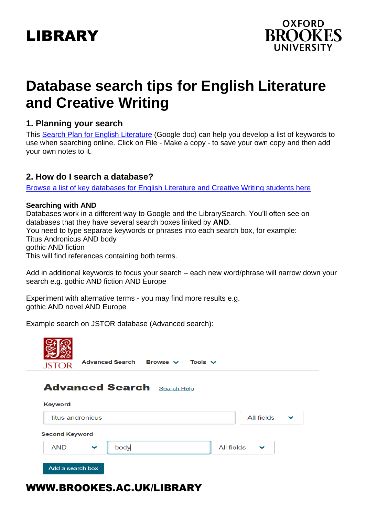



# **Database search tips for English Literature and Creative Writing**

# **1. Planning your search**

This Search Plan [for English Literature](https://docs.google.com/document/d/1g14nYZXY0x4urURRVqLs-84OZpRgKXKnSFGJpoQUqWE/edit?usp=sharing) (Google doc) can help you develop a list of keywords to use when searching online. Click on File - Make a copy - to save your own copy and then add your own notes to it.

# **2. How do I search a database?**

[Browse a list of key databases for English Literature and Creative Writing](https://www.brookes.ac.uk/library/resources-and-services/course-resource-help/english-literature-and-creative-writing) students here

#### **Searching with AND**

Databases work in a different way to Google and the LibrarySearch. You'll often see on databases that they have several search boxes linked by **AND**. You need to type separate keywords or phrases into each search box, for example:

Titus Andronicus AND body

gothic AND fiction

This will find references containing both terms.

Add in additional keywords to focus your search – each new word/phrase will narrow down your search e.g. gothic AND fiction AND Europe

Experiment with alternative terms - you may find more results e.g. gothic AND novel AND Europe

Example search on JSTOR database (Advanced search):

| Advanced Search Browse V<br>Tools $\vee$<br><b>JSTOR</b> |      |                            |
|----------------------------------------------------------|------|----------------------------|
| <b>Advanced Search Search Help</b>                       |      |                            |
| Keyword<br>titus andronicus                              |      | All fields<br>$\checkmark$ |
| <b>Second Keyword</b>                                    |      |                            |
| <b>AND</b><br>$\checkmark$                               | body | All fields<br>$\checkmark$ |
| Add a search box                                         |      |                            |

# WWW.BROOKES.AC.UK/LIBRARY